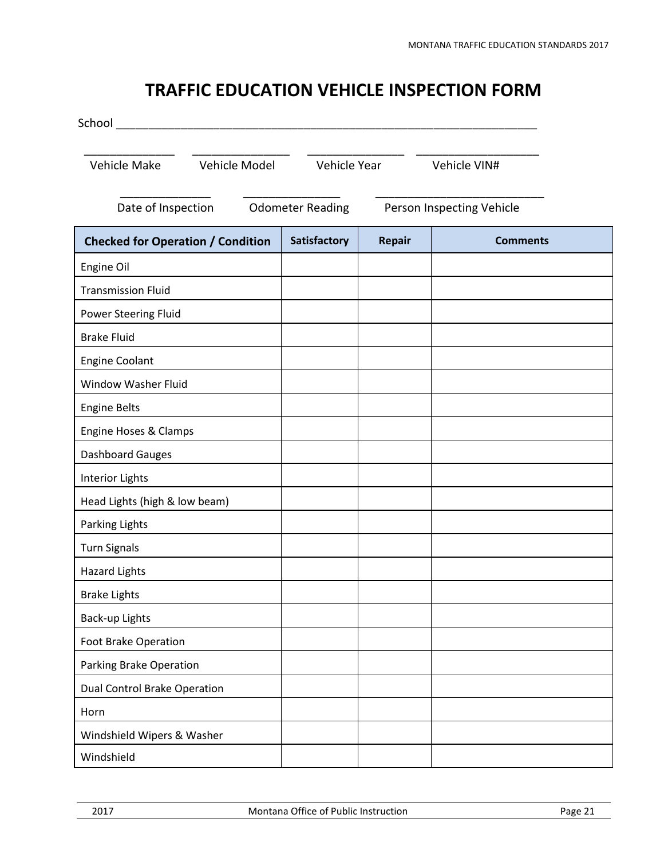## **TRAFFIC EDUCATION VEHICLE INSPECTION FORM**

| School                                                                     |                     |               |                 |  |  |
|----------------------------------------------------------------------------|---------------------|---------------|-----------------|--|--|
| Vehicle Model<br>Vehicle Make                                              | Vehicle Year        |               | Vehicle VIN#    |  |  |
| Date of Inspection<br>Person Inspecting Vehicle<br><b>Odometer Reading</b> |                     |               |                 |  |  |
| <b>Checked for Operation / Condition</b>                                   | <b>Satisfactory</b> | <b>Repair</b> | <b>Comments</b> |  |  |
| Engine Oil                                                                 |                     |               |                 |  |  |
| <b>Transmission Fluid</b>                                                  |                     |               |                 |  |  |
| Power Steering Fluid                                                       |                     |               |                 |  |  |
| <b>Brake Fluid</b>                                                         |                     |               |                 |  |  |
| <b>Engine Coolant</b>                                                      |                     |               |                 |  |  |
| Window Washer Fluid                                                        |                     |               |                 |  |  |
| <b>Engine Belts</b>                                                        |                     |               |                 |  |  |
| Engine Hoses & Clamps                                                      |                     |               |                 |  |  |
| Dashboard Gauges                                                           |                     |               |                 |  |  |
| <b>Interior Lights</b>                                                     |                     |               |                 |  |  |
| Head Lights (high & low beam)                                              |                     |               |                 |  |  |
| Parking Lights                                                             |                     |               |                 |  |  |
| <b>Turn Signals</b>                                                        |                     |               |                 |  |  |
| <b>Hazard Lights</b>                                                       |                     |               |                 |  |  |
| <b>Brake Lights</b>                                                        |                     |               |                 |  |  |
| Back-up Lights                                                             |                     |               |                 |  |  |
| Foot Brake Operation                                                       |                     |               |                 |  |  |
| Parking Brake Operation                                                    |                     |               |                 |  |  |
| <b>Dual Control Brake Operation</b>                                        |                     |               |                 |  |  |
| Horn                                                                       |                     |               |                 |  |  |
| Windshield Wipers & Washer                                                 |                     |               |                 |  |  |
| Windshield                                                                 |                     |               |                 |  |  |